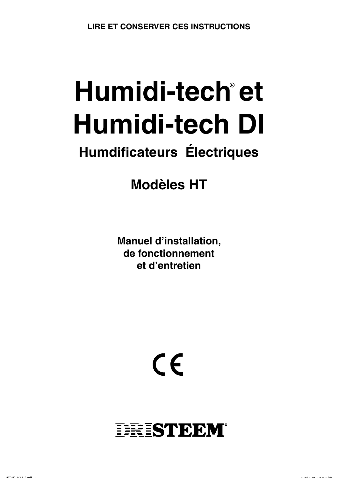# Humidi-tech®et **Humidi-tech DI**

## **Humdificateurs Électriques**

**Modèles HT** 

**Manuel d'installation,** de fonctionnement et d'entretien



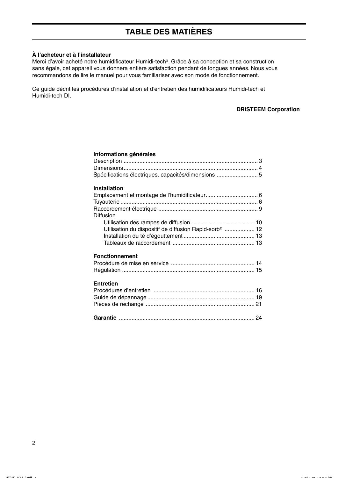## **TABLE DES MATIÈRES**

#### À l'acheteur et à l'installateur

Merci d'avoir acheté notre humidificateur Humidi-tech<sup>®</sup>. Grâce à sa conception et sa construction sans égale, cet appareil vous donnera entière satisfaction pendant de longues années. Nous vous recommandons de lire le manuel pour vous familiariser avec son mode de fonctionnement.

Ce guide décrit les procédures d'installation et d'entretien des humidificateurs Humidi-tech et Humidi-tech DI.

#### **DRISTEEM Corporation**

| Informations générales                                                         |  |
|--------------------------------------------------------------------------------|--|
|                                                                                |  |
|                                                                                |  |
| Spécifications électriques, capacités/dimensions 5                             |  |
| <b>Installation</b>                                                            |  |
| Diffusion<br>Utilisation du dispositif de diffusion Rapid-sorb <sup>®</sup> 12 |  |
| <b>Fonctionnement</b>                                                          |  |
| <b>Entretien</b>                                                               |  |
|                                                                                |  |

 $\overline{2}$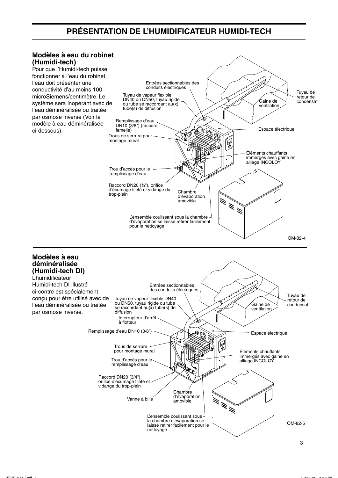## PRÉSENTATION DE L'HUMIDIFICATEUR HUMIDI-TECH

#### Modèles à eau du robinet (Humidi-tech)

Pour que l'Humidi-tech puisse fonctionner à l'eau du robinet. l'eau doit présenter une conductivité d'au moins 100 microSiemens/centimètre. Le système sera inopérant avec de l'eau déminéralisée ou traitée par osmose inverse (Voir le modèle à eau déminéralisée ci-dessous).

Modèles à eau déminéralisée (Humidi-tech DI) **L'humidificateur** 

par osmose inverse.



la chambre d'évaporation se

nettoyage

laisse retirer facilement pour le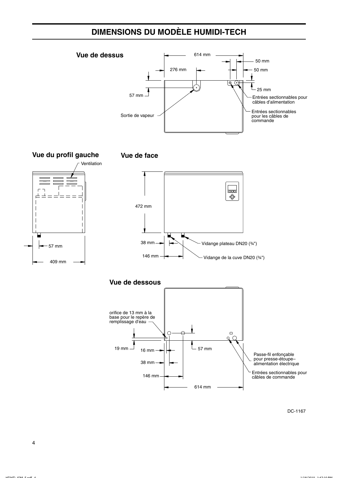## **DIMENSIONS DU MODÈLE HUMIDI-TECH**





 $19$  mm  $-$ 

**16 mm** 

38 mm

146 mm

DC-1167

Passe-fil enfonçable<br>pour presse-étoupe-<br>alimentation électrique

câbles de commande

Entrées sectionnables pour

 $\subset$ 

 $-57$  mm

614 mm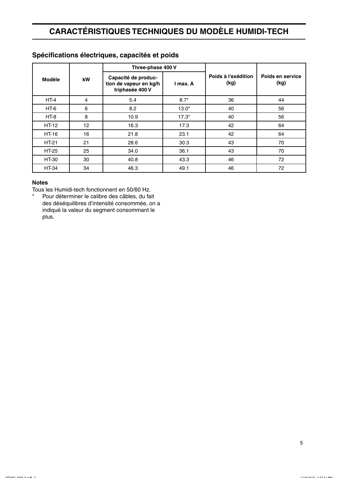## **CARACTÉRISTIQUES TECHNIQUES DU MODÈLE HUMIDI-TECH**

|              |    | Three-phase 400 V                                                |          |                             |                          |  |
|--------------|----|------------------------------------------------------------------|----------|-----------------------------|--------------------------|--|
| Modèle       | kW | Capacité de produc-<br>tion de vapeur en kg/h<br>triphasée 400 V | I max. A | Poids à l'exédition<br>(kg) | Poids en service<br>(kg) |  |
| $HT-4$       | 4  | 5.4                                                              | $8.7*$   | 36                          | 44                       |  |
| HT-6         | 6  | 8.2                                                              | $13.0*$  | 40                          | 56                       |  |
| $HT-8$       | 8  | 10.9                                                             | $17.3*$  | 40                          | 56                       |  |
| <b>HT-12</b> | 12 | 16.3                                                             | 17.3     | 42                          | 64                       |  |
| <b>HT-16</b> | 16 | 21.8                                                             | 23.1     | 42                          | 64                       |  |
| <b>HT-21</b> | 21 | 28.6                                                             | 30.3     | 43                          | 70                       |  |
| HT-25        | 25 | 34.0                                                             | 36.1     | 43                          | 70                       |  |
| <b>HT-30</b> | 30 | 40.8                                                             | 43.3     | 46                          | 72                       |  |
| <b>HT-34</b> | 34 | 46.3                                                             | 49.1     | 46                          | 72                       |  |

### Spécifications électriques, capacités et poids

#### **Notes**

Tous les Humidi-tech fonctionnent en 50/60 Hz.

 $\star$ Pour déterminer le calibre des câbles, du fait des déséquilibres d'intensité consommée, on a indiqué la valeur du segment consommant le plus.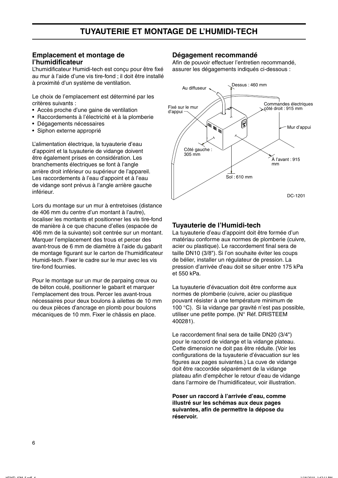#### Emplacement et montage de l'humidificateur

L'humidificateur Humidi-tech est concu pour être fixé au mur à l'aide d'une vis tire-fond : il doit être installé à proximité d'un système de ventilation.

Le choix de l'emplacement est déterminé par les critères suivants :

- Accès proche d'une gaine de ventilation
- Raccordements à l'électricité et à la plomberie
- Dégagements nécessaires
- · Siphon externe approprié

L'alimentation électrique, la tuyauterie d'eau d'appoint et la tuyauterie de vidange doivent être également prises en considération. Les branchements électriques se font à l'angle arrière droit inférieur ou supérieur de l'appareil. Les raccordements à l'eau d'appoint et à l'eau de vidange sont prévus à l'angle arrière gauche inférieur.

Lors du montage sur un mur à entretoises (distance de 406 mm du centre d'un montant à l'autre), localiser les montants et positionner les vis tire-fond de manière à ce que chacune d'elles (espacée de 406 mm de la suivante) soit centrée sur un montant. Marquer l'emplacement des trous et percer des avant-trous de 6 mm de diamètre à l'aide du gabarit de montage figurant sur le carton de l'humidificateur Humidi-tech. Fixer le cadre sur le mur avec les vis tire-fond fournies.

Pour le montage sur un mur de parpaing creux ou de béton coulé, positionner le gabarit et marquer l'emplacement des trous. Percer les avant-trous nécessaires pour deux boulons à ailettes de 10 mm ou deux pièces d'ancrage en plomb pour boulons mécaniques de 10 mm. Fixer le châssis en place.

#### Dégagement recommandé

Afin de pouvoir effectuer l'entretien recommandé. assurer les dégagements indiqués ci-dessous :



#### Tuyauterie de l'Humidi-tech

La tuyauterie d'eau d'appoint doit être formée d'un matériau conforme aux normes de plomberie (cuivre, acier ou plastique). Le raccordement final sera de taille DN10 (3/8"). Si l'on souhaite éviter les coups de bélier, installer un régulateur de pression. La pression d'arrivée d'eau doit se situer entre 175 kPa et 550 kPa.

La tuyauterie d'évacuation doit être conforme aux normes de plomberie (cuivre, acier ou plastique pouvant résister à une température minimum de 100 °C). Si la vidange par gravité n'est pas possible, utiliser une petite pompe. (N° Réf. DRISTEEM 400281).

Le raccordement final sera de taille DN20 (3/4") pour le raccord de vidange et la vidange plateau. Cette dimension ne doit pas être réduite. (Voir les configurations de la tuyauterie d'évacuation sur les figures aux pages suivantes.) La cuve de vidange doit être raccordée séparément de la vidange plateau afin d'empêcher le retour d'eau de vidange dans l'armoire de l'humidificateur, voir illustration.

Poser un raccord à l'arrivée d'eau, comme illustré sur les schémas aux deux pages suivantes, afin de permettre la dépose du réservoir.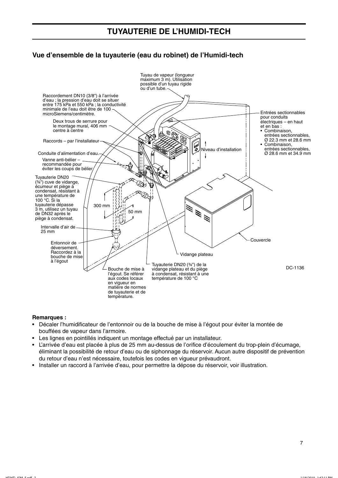#### Vue d'ensemble de la tuyauterie (eau du robinet) de l'Humidi-tech



#### **Remarques:**

- · Décaler l'humidificateur de l'entonnoir ou de la bouche de mise à l'égout pour éviter la montée de bouffées de vapeur dans l'armoire.
- Les lignes en pointillés indiquent un montage effectué par un installateur.
- · L'arrivée d'eau est placée à plus de 25 mm au-dessus de l'orifice d'écoulement du trop-plein d'écumage. éliminant la possibilité de retour d'eau ou de siphonnage du réservoir. Aucun autre dispositif de prévention du retour d'eau n'est nécessaire, toutefois les codes en viqueur prévaudront.
- · Installer un raccord à l'arrivée d'eau, pour permettre la dépose du réservoir, voir illustration.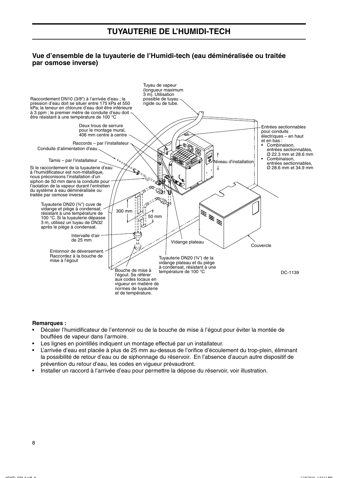#### Vue d'ensemble de la tuyauterie de l'Humidi-tech (eau déminéralisée ou traitée par osmose inverse)



#### **Remarques:**

- Décaler l'humidificateur de l'entonnoir ou de la bouche de mise à l'égout pour éviter la montée de bouffées de vapeur dans l'armoire.
- Les lignes en pointillés indiquent un montage effectué par un installateur.
- L'arrivée d'eau est placée à plus de 25 mm au-dessus de l'orifice d'écoulement du trop-plein, éliminant la possibilité de retour d'eau ou de siphonnage du réservoir. En l'absence d'aucun autre dispositif de prévention du retour d'eau, les codes en vigueur prévaudront.
- Installer un raccord à l'arrivée d'eau pour permettre la dépose du réservoir, voir illustration.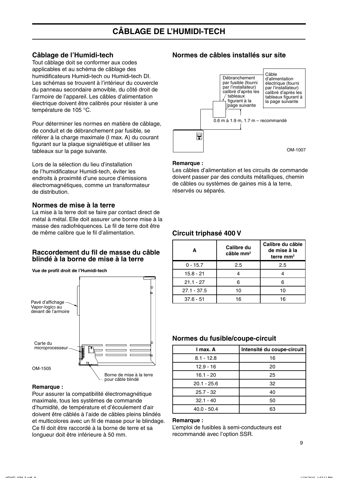#### Câblage de l'Humidi-tech

Tout câblage doit se conformer aux codes applicables et au schéma de câblage des humidificateurs Humidi-tech ou Humidi-tech DI. Les schémas se trouvent à l'intérieur du couvercle du panneau secondaire amovible, du côté droit de l'armoire de l'appareil. Les câbles d'alimentation électrique doivent être calibrés pour résister à une température de 105 °C.

Pour déterminer les normes en matière de câblage, de conduit et de débranchement par fusible, se référer à la charge maximale (I max. A) du courant figurant sur la plaque signalétique et utiliser les tableaux sur la page suivante.

Lors de la sélection du lieu d'installation de l'humidificateur Humidi-tech. éviter les endroits à proximité d'une source d'émissions électromagnétiques, comme un transformateur de distribution.

#### Normes de mise à la terre

La mise à la terre doit se faire par contact direct de métal à métal. Elle doit assurer une bonne mise à la masse des radiofréquences. Le fil de terre doit être de même calibre que le fil d'alimentation.

#### Raccordement du fil de masse du câble blindé à la borne de mise à la terre



Vue de profil droit de l'Humidi-tech

#### Remarque:

Pour assurer la compatibilité électromagnétique maximale, tous les systèmes de commande d'humidité, de température et d'écoulement d'air doivent être câblés à l'aide de câbles pleins blindés et multicolores avec un fil de masse pour le blindage. Ce fil doit être raccordé à la borne de terre et sa longueur doit être inférieure à 50 mm.

#### Normes de câbles installés sur site



#### Remarque:

Les câbles d'alimentation et les circuits de commande doivent passer par des conduits métalliques, chemin de câbles ou systèmes de gaines mis à la terre. réservés ou séparés.

#### Circuit triphasé 400 V

| A             | Calibre du<br>$c$ âble mm <sup>2</sup> | Calibre du câble<br>de mise à la<br>terre $mm2$ |
|---------------|----------------------------------------|-------------------------------------------------|
| $0 - 15.7$    | 2.5                                    | 2.5                                             |
| $15.8 - 21$   |                                        |                                                 |
| $21.1 - 27$   |                                        |                                                 |
| $27.1 - 37.5$ | 10                                     | 10                                              |
| $37.6 - 51$   | 16                                     | 16                                              |

#### Normes du fusible/coupe-circuit

| I max. A      | Intensité du coupe-circuit |
|---------------|----------------------------|
| $8.1 - 12.8$  | 16                         |
| $12.9 - 16$   | 20                         |
| $16.1 - 20$   | 25                         |
| $20.1 - 25.6$ | 32                         |
| $25.7 - 32$   | 40                         |
| $32.1 - 40$   | 50                         |
| $40.0 - 50.4$ | 63                         |

#### Remarque:

L'emploi de fusibles à semi-conducteurs est recommandé avec l'option SSR.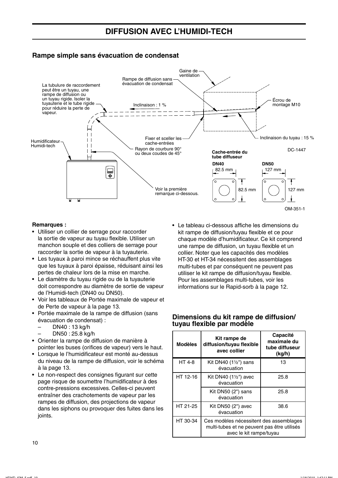#### Rampe simple sans évacuation de condensat



#### **Remarques:**

- · Utiliser un collier de serrage pour raccorder la sortie de vapeur au tuyau flexible. Utiliser un manchon souple et des colliers de serrage pour raccorder la sortie de vapeur à la tuyauterie.
- Les tuyaux à paroi mince se réchauffent plus vite que les tuyaux à paroi épaisse, réduisant ainsi les pertes de chaleur lors de la mise en marche.
- Le diamètre du tuyau rigide ou de la tuyauterie doit correspondre au diamètre de sortie de vapeur de l'Humidi-tech (DN40 ou DN50).
- Voir les tableaux de Portée maximale de vapeur et de Perte de vapeur à la page 13.
- Portée maximale de la rampe de diffusion (sans évacuation de condensat) :
	- DN40:13 kg/h
	- DN50: 25.8 kg/h
- Orienter la rampe de diffusion de manière à pointer les buses (orifices de vapeur) vers le haut.
- Lorsque le l'humidificateur est monté au-dessus du niveau de la rampe de diffusion, voir le schéma à la page 13.
- Le non-respect des consignes figurant sur cette page risque de soumettre l'humidificateur à des contre-pressions excessives. Celles-ci peuvent entraîner des crachotements de vapeur par les rampes de diffusion, des projections de vapeur dans les siphons ou provoquer des fuites dans les joints.

• Le tableau ci-dessous affiche les dimensions du kit rampe de diffusion/tuyau flexible et ce pour chaque modèle d'humidificateur. Ce kit comprend une rampe de diffusion, un tuyau flexible et un collier. Noter que les capacités des modèles HT-30 et HT-34 nécessitent des assemblages multi-tubes et par conséquent ne peuvent pas utiliser le kit rampe de diffusion/tuyau flexible. Pour les assemblages multi-tubes, voir les informations sur le Rapid-sorb à la page 12.

#### Dimensions du kit rampe de diffusion/ tuyau flexible par modèle

| <b>Modèles</b> | Kit rampe de<br>diffusion/tuyau flexible<br>avec collier                                                          | <b>Capacité</b><br>maximale du<br>tube diffuseur<br>(kq/h) |
|----------------|-------------------------------------------------------------------------------------------------------------------|------------------------------------------------------------|
| HT 4-8         | Kit DN40 (11/2") sans<br>évacuation                                                                               | 13                                                         |
| HT 12-16       | Kit DN40 $(1\frac{1}{2})$ avec<br>évacuation                                                                      | 25.8                                                       |
|                | Kit DN50 (2") sans<br>évacuation                                                                                  | 25.8                                                       |
| HT 21-25       | Kit DN50 $(2")$ avec<br>évacuation                                                                                | 38.6                                                       |
| HT 30-34       | Ces modèles nécessitent des assemblages<br>multi-tubes et ne peuvent pas être utilisés<br>avec le kit rampe/tuyau |                                                            |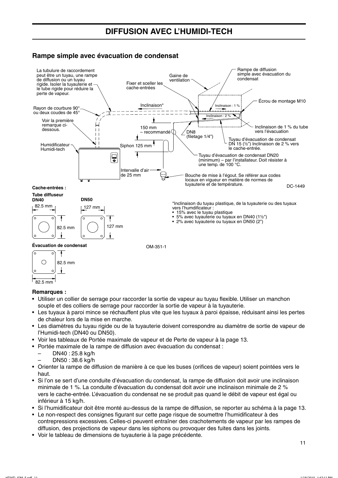#### Rampe simple avec évacuation de condensat





#### **Remarques:**

- Utiliser un collier de serrage pour raccorder la sortie de vapeur au tuyau flexible. Utiliser un manchon souple et des colliers de serrage pour raccorder la sortie de vapeur à la tuyauterie.
- Les tuyaux à paroi mince se réchauffent plus vite que les tuyaux à paroi épaisse, réduisant ainsi les pertes de chaleur lors de la mise en marche.
- Les diamètres du tuyau rigide ou de la tuyauterie doivent correspondre au diamètre de sortie de vapeur de l'Humidi-tech (DN40 ou DN50).
- · Voir les tableaux de Portée maximale de vapeur et de Perte de vapeur à la page 13.
- Portée maximale de la rampe de diffusion avec évacuation du condensat :
	- DN40: 25.8 kg/h
		- DN50:38.6 kg/h
- Orienter la rampe de diffusion de manière à ce que les buses (orifices de vapeur) soient pointées vers le haut
- Si l'on se sert d'une conduite d'évacuation du condensat, la rampe de diffusion doit avoir une inclinaison minimale de 1 %. La conduite d'évacuation du condensat doit avoir une inclinaison minimale de 2 % vers le cache-entrée. L'évacuation du condensat ne se produit pas quand le débit de vapeur est égal ou inférieur à 15 kg/h.
- Si l'humidificateur doit être monté au-dessus de la rampe de diffusion, se reporter au schéma à la page 13.
- Le non-respect des consignes figurant sur cette page risque de soumettre l'humidificateur à des contrepressions excessives. Celles-ci peuvent entraîner des crachotements de vapeur par les rampes de diffusion, des projections de vapeur dans les siphons ou provoquer des fuites dans les joints.
- Voir le tableau de dimensions de tuyauterie à la page précédente.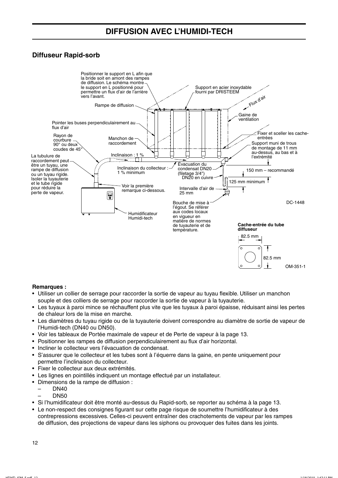## **DIFFUSION AVEC L'HUMIDI-TECH**

#### **Diffuseur Rapid-sorb**



#### **Remarques:**

- Utiliser un collier de serrage pour raccorder la sortie de vapeur au tuvau flexible. Utiliser un manchon souple et des colliers de serrage pour raccorder la sortie de vapeur à la tuyauterie.
- Les tuyaux à paroi mince se réchauffent plus vite que les tuyaux à paroi épaisse, réduisant ainsi les pertes de chaleur lors de la mise en marche.
- Les diamètres du tuyau rigide ou de la tuyauterie doivent correspondre au diamètre de sortie de vapeur de l'Humidi-tech (DN40 ou DN50).
- Voir les tableaux de Portée maximale de vapeur et de Perte de vapeur à la page 13.
- Positionner les rampes de diffusion perpendiculairement au flux d'air horizontal.
- Incliner le collecteur vers l'évacuation de condensat.
- · S'assurer que le collecteur et les tubes sont à l'équerre dans la gaine, en pente uniquement pour permettre l'inclinaison du collecteur.
- · Fixer le collecteur aux deux extrémités.
- Les lignes en pointillés indiquent un montage effectué par un installateur.
- · Dimensions de la rampe de diffusion :
	- **DN40**
	- **DN50**
- Si l'humidificateur doit être monté au-dessus du Rapid-sorb, se reporter au schéma à la page 13.
- Le non-respect des consignes figurant sur cette page risque de soumettre l'humidificateur à des contrepressions excessives. Celles-ci peuvent entraîner des crachotements de vapeur par les rampes de diffusion, des projections de vapeur dans les siphons ou provoquer des fuites dans les joints.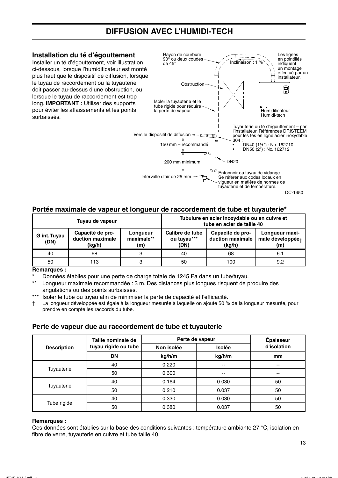## **DIFFUSION AVEC L'HUMIDI-TECH**

#### Installation du té d'égouttement

Installer un té d'égouttement, voir illustration ci-dessous, lorsque l'humidificateur est monté plus haut que le dispositif de diffusion, lorsque le tuvau de raccordement ou la tuvauterie doit passer au-dessus d'une obstruction, ou lorsque le tuyau de raccordement est trop long. **IMPORTANT**: Utiliser des supports pour éviter les affaissements et les points surbaissés



#### Portée maximale de vapeur et longueur de raccordement de tube et tuyauterie\*

| Tuyau de vapeur      |                                                |                               |                                        | Tubulure en acier inoxydable ou en cuivre et<br>tube en acier de taille 40 |                                                       |
|----------------------|------------------------------------------------|-------------------------------|----------------------------------------|----------------------------------------------------------------------------|-------------------------------------------------------|
| Ø int. Tuyau<br>(DN) | Capacité de pro-<br>duction maximale<br>(kg/h) | Longueur<br>maximale**<br>(m) | Calibre de tube<br>ou tuyau***<br>(DN) | Capacité de pro-<br>duction maximale<br>(kg/h)                             | Longueur maxi-<br>male développée <sub>+</sub><br>(m) |
| 40                   | 68                                             | з                             | 40                                     | 68                                                                         | 6.1                                                   |
| 50                   | 113                                            | ຈ                             | 50                                     | 100                                                                        | 9.2                                                   |

#### **Remarques:**

Données établies pour une perte de charge totale de 1245 Pa dans un tube/tuyau.

 $\star\star$ Longueur maximale recommandée : 3 m. Des distances plus longues risquent de produire des angulations ou des points surbaissés.

 $***$ Isoler le tube ou tuyau afin de minimiser la perte de capacité et l'efficacité.

La longueur développée est égale à la longueur mesurée à laquelle on ajoute 50 % de la longueur mesurée, pour  $\ddagger$ prendre en compte les raccords du tube.

#### Perte de vapeur due au raccordement de tube et tuyauterie

|                    | Perte de vapeur<br>Taille nominale de |            |                          | Épaisseur   |
|--------------------|---------------------------------------|------------|--------------------------|-------------|
| <b>Description</b> | tuyau rigide ou tube                  | Non isolée | <b>Isolée</b>            | d'isolation |
|                    | <b>DN</b>                             | kg/h/m     | kg/h/m                   | mm          |
| Tuyauterie         | 40                                    | 0.220      | $\overline{\phantom{a}}$ | $- -$       |
|                    | 50                                    | 0.300      | $\overline{\phantom{a}}$ | $- -$       |
| Tuyauterie         | 40                                    | 0.164      | 0.030                    | 50          |
|                    | 50                                    | 0.210      | 0.037                    | 50          |
|                    | 40                                    | 0.330      | 0.030                    | 50          |
| Tube rigide        | 50                                    | 0.380      | 0.037                    | 50          |

#### **Remarques:**

Ces données sont établies sur la base des conditions suivantes : température ambiante 27 °C, isolation en fibre de verre, tuyauterie en cuivre et tube taille 40.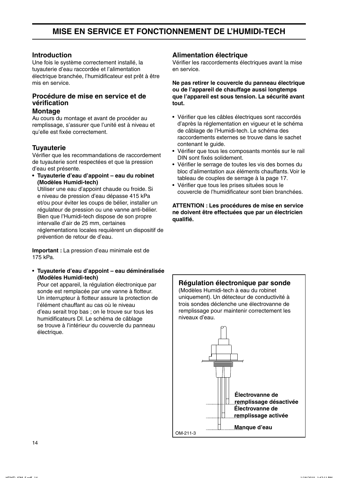## MISE EN SERVICE ET FONCTIONNEMENT DE L'HUMIDI-TECH

#### **Introduction**

Une fois le système correctement installé, la tuyauterie d'eau raccordée et l'alimentation électrique branchée. l'humidificateur est prêt à être mis en service.

#### Procédure de mise en service et de vérification

#### **Montage**

Au cours du montage et avant de procéder au remplissage, s'assurer que l'unité est à niveau et qu'elle est fixée correctement.

#### **Tuvauterie**

Vérifier que les recommandations de raccordement de tuyauterie sont respectées et que la pression d'eau est présente.

• Tuyauterie d'eau d'appoint – eau du robinet (Modèles Humidi-tech)

Utiliser une eau d'appoint chaude ou froide. Si e niveau de pression d'eau dépasse 415 kPa et/ou pour éviter les coups de bélier, installer un régulateur de pression ou une vanne anti-bélier. Bien que l'Humidi-tech dispose de son propre intervalle d'air de 25 mm, certaines réglementations locales requièrent un dispositif de prévention de retour de d'eau.

Important : La pression d'eau minimale est de 175 kPa.

· Tuyauterie d'eau d'appoint - eau déminéralisée (Modèles Humidi-tech)

Pour cet appareil, la régulation électronique par sonde est remplacée par une vanne à flotteur. Un interrupteur à flotteur assure la protection de l'élément chauffant au cas où le niveau d'eau serait trop bas ; on le trouve sur tous les humidificateurs DI. Le schéma de câblage se trouve à l'intérieur du couvercle du panneau électrique.

#### **Alimentation électrique**

Vérifier les raccordements électriques avant la mise en service.

Ne pas retirer le couvercle du panneau électrique ou de l'appareil de chauffage aussi longtemps que l'appareil est sous tension. La sécurité avant tout.

- Vérifier que les câbles électriques sont raccordés d'après la réglementation en vigueur et le schéma de câblage de l'Humidi-tech. Le schéma des raccordements externes se trouve dans le sachet contenant le guide.
- Vérifier que tous les composants montés sur le rail DIN sont fixés solidement.
- Vérifier le serrage de toutes les vis des bornes du bloc d'alimentation aux éléments chauffants. Voir le tableau de couples de serrage à la page 17.
- · Vérifier que tous les prises situées sous le couvercle de l'humidificateur sont bien branchées.

**ATTENTION : Les procédures de mise en service** ne doivent être effectuées que par un électricien qualifié.

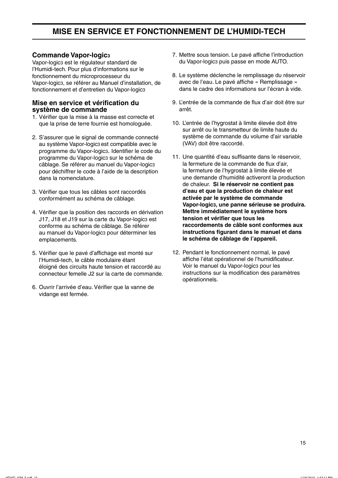## MISE EN SERVICE ET FONCTIONNEMENT DE L'HUMIDI-TECH

#### **Commande Vapor-Iogics**

Vapor-logica est le régulateur standard de l'Humidi-tech. Pour plus d'informations sur le fonctionnement du microprocesseur du Vapor-logica, se référer au Manuel d'installation, de fonctionnement et d'entretien du Vapor-logic3

#### Mise en service et vérification du système de commande

- 1. Vérifier que la mise à la masse est correcte et que la prise de terre fournie est homologuée.
- 2. S'assurer que le signal de commande connecté au système Vapor-logic3 est compatible avec le programme du Vapor-logics. Identifier le code du programme du Vapor-logic3 sur le schéma de câblage. Se référer au manuel du Vapor-logic3 pour déchiffrer le code à l'aide de la description dans la nomenclature.
- 3. Vérifier que tous les câbles sont raccordés conformément au schéma de câblage.
- 4. Vérifier que la position des raccords en dérivation J17, J18 et J19 sur la carte du Vapor-logic3 est conforme au schéma de câblage. Se référer au manuel du Vapor-logics pour déterminer les emplacements.
- 5. Vérifier que le pavé d'affichage est monté sur l'Humidi-tech, le câble modulaire étant éloigné des circuits haute tension et raccordé au connecteur femelle J2 sur la carte de commande.
- 6. Ouvrir l'arrivée d'eau. Vérifier que la vanne de vidange est fermée.
- 7. Mettre sous tension. Le pavé affiche l'introduction du Vapor-logic3 puis passe en mode AUTO.
- 8. Le système déclenche le remplissage du réservoir avec de l'eau. Le pavé affiche « Remplissage » dans le cadre des informations sur l'écran à vide.
- 9. L'entrée de la commande de flux d'air doit être sur arrêt.
- 10. L'entrée de l'hygrostat à limite élevée doit être sur arrêt ou le transmetteur de limite haute du système de commande du volume d'air variable (VAV) doit être raccordé.
- 11. Une quantité d'eau suffisante dans le réservoir, la fermeture de la commande de flux d'air, la fermeture de l'hygrostat à limite élevée et une demande d'humidité activeront la production de chaleur. Si le réservoir ne contient pas d'eau et que la production de chaleur est activée par le système de commande Vapor-logic3, une panne sérieuse se produira. Mettre immédiatement le système hors tension et vérifier que tous les raccordements de câble sont conformes aux instructions figurant dans le manuel et dans le schéma de câblage de l'appareil.
- 12. Pendant le fonctionnement normal, le pavé affiche l'état opérationnel de l'humidificateur. Voir le manuel du Vapor-logic3 pour les instructions sur la modification des paramètres opérationnels.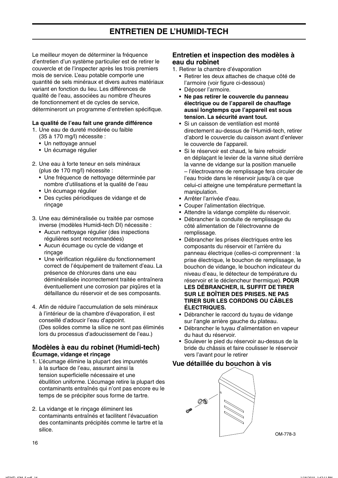Le meilleur moven de déterminer la fréquence d'entretien d'un système particulier est de retirer le couvercle et de l'inspecter après les trois premiers mois de service. L'eau potable comporte une quantité de sels minéraux et divers autres matériaux variant en fonction du lieu. Les différences de qualité de l'eau, associées au nombre d'heures de fonctionnement et de cycles de service, détermineront un programme d'entretien spécifique.

#### La qualité de l'eau fait une grande différence

- 1. Une eau de dureté modérée ou faible
	- (35 à 170 mg/l) nécessite :
	- Un nettoyage annuel
	- · Un écumage régulier
- 2. Une eau à forte teneur en sels minéraux (plus de 170 mg/l) nécessite :
	- · Une fréquence de nettoyage déterminée par nombre d'utilisations et la qualité de l'eau
	- Un écumage régulier
	- Des cycles périodiques de vidange et de rincage
- 3. Une eau déminéralisée ou traitée par osmose inverse (modèles Humidi-tech DI) nécessite :
	- Aucun nettoyage régulier (des inspections régulières sont recommandées)
	- Aucun écumage ou cycle de vidange et rincage
	- Une vérification régulière du fonctionnement correct de l'équipement de traitement d'eau. La présence de chlorures dans une eau déminéralisée incorrectement traitée entraînera éventuellement une corrosion par pigûres et la défaillance du réservoir et de ses composants.
- 4. Afin de réduire l'accumulation de sels minéraux à l'intérieur de la chambre d'évaporation, il est conseillé d'adoucir l'eau d'appoint. (Des solides comme la silice ne sont pas éliminés lors du processus d'adoucissement de l'eau.)

#### Modèles à eau du robinet (Humidi-tech) Écumage, vidange et rinçage

- 1. L'écumage élimine la plupart des impuretés à la surface de l'eau, assurant ainsi la tension superficielle nécessaire et une ébullition uniforme. L'écumage retire la plupart des contaminants entraînés qui n'ont pas encore eu le temps de se précipiter sous forme de tartre.
- 2. La vidange et le rinçage éliminent les contaminants entraînés et facilitent l'évacuation des contaminants précipités comme le tartre et la silice.

#### Entretien et inspection des modèles à eau du robinet

- 1. Retirer la chambre d'évaporation
	- · Retirer les deux attaches de chaque côté de l'armoire (voir figure ci-dessous)
	- · Déposer l'armoire.
	- Ne pas retirer le couvercle du panneau électrique ou de l'appareil de chauffage aussi longtemps que l'appareil est sous tension. La sécurité avant tout.
	- Si un caisson de ventilation est monté directement au-dessus de l'Humidi-tech, retirer d'abord le couvercle du caisson avant d'enlever le couvercle de l'appareil.
	- Si le réservoir est chaud, le faire refroidir en déplaçant le levier de la vanne situé derrière la vanne de vidange sur la position manuelle - l'électrovanne de remplissage fera circuler de l'eau froide dans le réservoir jusqu'à ce que celui-ci atteigne une température permettant la manipulation.
	- Arrêter l'arrivée d'eau.
	- Couper l'alimentation électrique.
	- Attendre la vidange complète du réservoir.
	- · Débrancher la conduite de remplissage du côté alimentation de l'électrovanne de remplissage.
	- Débrancher les prises électriques entre les composants du réservoir et l'arrière du panneau électrique (celles-ci comprennent : la prise électrique, le bouchon de remplissage, le bouchon de vidange, le bouchon indicateur du niveau d'eau, le détecteur de température du réservoir et le déclencheur thermique). POUR LES DÉBRANCHER, IL SUFFIT DE TIRER SUR LE BOÎTIER DES PRISES. NE PAS TIRER SUR LES CORDONS OU CÂBLES **ÉLECTRIQUES.**
	- · Débrancher le raccord du tuyau de vidange sur l'angle arrière gauche du plateau.
	- Débrancher le tuyau d'alimentation en vapeur du haut du réservoir.
	- Soulever le pied du réservoir au-dessus de la bride du châssis et faire coulisser le réservoir vers l'avant pour le retirer

#### Vue détaillée du bouchon à vis



OM-778-3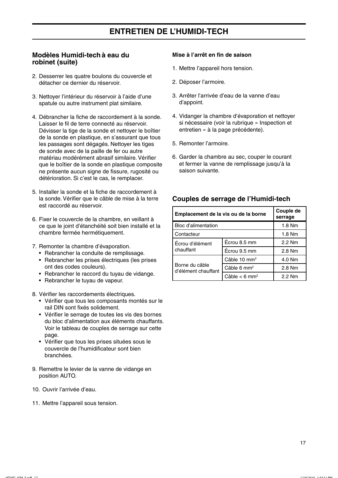#### Modèles Humidi-tech à eau du robinet (suite)

- 2. Desserrer les quatre boulons du couvercle et détacher ce dernier du réservoir.
- 3. Nettoyer l'intérieur du réservoir à l'aide d'une spatule ou autre instrument plat similaire.
- 4. Débrancher la fiche de raccordement à la sonde. Laisser le fil de terre connecté au réservoir. Dévisser la tige de la sonde et nettoyer le boîtier de la sonde en plastique, en s'assurant que tous les passages sont dégagés. Nettoyer les tiges de sonde avec de la paille de fer ou autre matériau modérément abrasif similaire. Vérifier que le boîtier de la sonde en plastique composite ne présente aucun signe de fissure, rugosité ou détérioration. Si c'est le cas, le remplacer.
- 5. Installer la sonde et la fiche de raccordement à la sonde. Vérifier que le câble de mise à la terre est raccordé au réservoir.
- 6. Fixer le couvercle de la chambre, en veillant à ce que le joint d'étanchéité soit bien installé et la chambre fermée hermétiquement.
- 7. Remonter la chambre d'évaporation.
	- Rebrancher la conduite de remplissage.
	- Rebrancher les prises électriques (les prises ont des codes couleurs).
	- Rebrancher le raccord du tuyau de vidange.
	- Rebrancher le tuyau de vapeur.

8. Vérifier les raccordements électriques.

- Vérifier que tous les composants montés sur le rail DIN sont fixés solidement.
- Vérifier le serrage de toutes les vis des bornes du bloc d'alimentation aux éléments chauffants. Voir le tableau de couples de serrage sur cette page.
- Vérifier que tous les prises situées sous le couvercle de l'humidificateur sont bien branchées.
- 9. Remettre le levier de la vanne de vidange en position AUTO.
- 10. Ouvrir l'arrivée d'eau.
- 11. Mettre l'appareil sous tension.

#### Mise à l'arrêt en fin de saison

- 1. Mettre l'appareil hors tension.
- 2. Déposer l'armoire.
- 3. Arrêter l'arrivée d'eau de la vanne d'eau d'appoint.
- 4. Vidanger la chambre d'évaporation et nettover si nécessaire (voir la rubrique « Inspection et entretien » à la page précédente).
- 5. Remonter l'armoire.
- 6. Garder la chambre au sec, couper le courant et fermer la vanne de remplissage jusqu'à la saison suivante.

#### Couples de serrage de l'Humidi-tech

| Emplacement de la vis ou de la borne  | Couple de<br>serrage        |        |
|---------------------------------------|-----------------------------|--------|
| Bloc d'alimentation                   | 1.8 Nm                      |        |
| Contacteur                            | 1.8 Nm                      |        |
| Écrou d'élément<br>chauffant          | Écrou 8.5 mm                | 2.2 Nm |
|                                       | Écrou 9.5 mm                | 2.8 Nm |
|                                       | Câble 10 mm <sup>2</sup>    | 4.0 Nm |
| Borne du câble<br>d'élément chauffant | Câble 6 mm <sup>2</sup>     | 2.8 Nm |
|                                       | Câble $<$ 6 mm <sup>2</sup> | 2.2 Nm |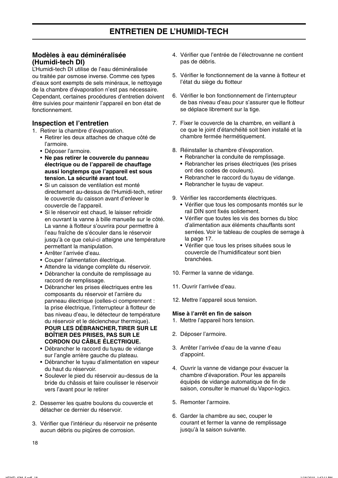#### Modèles à eau déminéralisée (Humidi-tech DI)

L'Humidi-tech DI utilise de l'eau déminéralisée ou traitée par osmose inverse. Comme ces types d'eaux sont exempts de sels minéraux, le nettovage de la chambre d'évaporation n'est pas nécessaire. Cependant, certaines procédures d'entretien doivent être suivies pour maintenir l'appareil en bon état de fonctionnement.

#### Inspection et l'entretien

1. Retirer la chambre d'évaporation.

- · Retirer les deux attaches de chaque côté de l'armoire.
- · Déposer l'armoire.
- Ne pas retirer le couvercle du panneau électrique ou de l'appareil de chauffage aussi longtemps que l'appareil est sous tension. La sécurité avant tout.
- Si un caisson de ventilation est monté directement au-dessus de l'Humidi-tech, retirer le couvercle du caisson avant d'enlever le couvercle de l'appareil.
- · Si le réservoir est chaud, le laisser refroidir en ouvrant la vanne à bille manuelle sur le côté. La vanne à flotteur s'ouvrira pour permettre à l'eau fraîche de s'écouler dans le réservoir jusqu'à ce que celui-ci atteigne une température permettant la manipulation.
- · Arrêter l'arrivée d'eau.
- Couper l'alimentation électrique.
- · Attendre la vidange complète du réservoir.
- · Débrancher la conduite de remplissage au raccord de remplissage.
- Débrancher les prises électriques entre les composants du réservoir et l'arrière du panneau électrique (celles-ci comprennent : la prise électrique, l'interrupteur à flotteur de bas niveau d'eau, le détecteur de température du réservoir et le déclencheur thermique). POUR LES DÉBRANCHER, TIRER SUR LE **BOÎTIER DES PRISES, PAS SUR LE CORDON OU CÂBLE ÉLECTRIQUE.**
- · Débrancher le raccord du tuyau de vidange sur l'angle arrière gauche du plateau.
- Débrancher le tuyau d'alimentation en vapeur du haut du réservoir.
- · Soulever le pied du réservoir au-dessus de la bride du châssis et faire coulisser le réservoir vers l'avant pour le retirer
- 2. Desserrer les quatre boulons du couvercle et détacher ce dernier du réservoir.
- 3. Vérifier que l'intérieur du réservoir ne présente aucun débris ou piqûres de corrosion.
- 4. Vérifier que l'entrée de l'électrovanne ne contient pas de débris.
- 5. Vérifier le fonctionnement de la vanne à flotteur et l'état du siège du flotteur
- 6. Vérifier le bon fonctionnement de l'interrupteur de bas niveau d'eau pour s'assurer que le flotteur se déplace librement sur la tige.
- 7. Fixer le couvercle de la chambre, en veillant à ce que le joint d'étanchéité soit bien installé et la chambre fermée hermétiquement.
- 8. Réinstaller la chambre d'évaporation.
	- Rebrancher la conduite de remplissage.
	- Rebrancher les prises électriques (les prises ont des codes de couleurs).
	- Rebrancher le raccord du tuyau de vidange.
	- Rebrancher le tuyau de vapeur.
- 9. Vérifier les raccordements électriques.
	- · Vérifier que tous les composants montés sur le rail DIN sont fixés solidement.
	- Vérifier que toutes les vis des bornes du bloc d'alimentation aux éléments chauffants sont serrées. Voir le tableau de couples de serrage à la page 17.
	- · Vérifier que tous les prises situées sous le couvercle de l'humidificateur sont bien branchées.
- 10. Fermer la vanne de vidange.
- 11. Ouvrir l'arrivée d'eau.
- 12. Mettre l'appareil sous tension.

#### Mise à l'arrêt en fin de saison

- 1. Mettre l'appareil hors tension.
- 2. Déposer l'armoire.
- 3. Arrêter l'arrivée d'eau de la vanne d'eau d'appoint.
- 4. Ouvrir la vanne de vidange pour évacuer la chambre d'évaporation. Pour les appareils équipés de vidange automatique de fin de saison, consulter le manuel du Vapor-logics.
- 5. Remonter l'armoire.
- 6. Garder la chambre au sec, couper le courant et fermer la vanne de remplissage jusqu'à la saison suivante.

18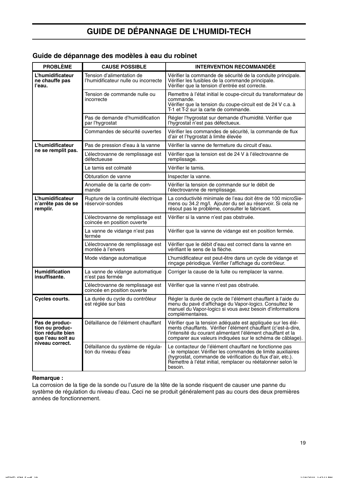## **GUIDE DE DÉPANNAGE DE L'HUMIDI-TECH**

#### Guide de dépannage des modèles à eau du robinet

| <b>PROBLÈME</b>                                                             | <b>CAUSE POSSIBLE</b>                                             | <b>INTERVENTION RECOMMANDEE</b>                                                                                                                                                                                                                                 |
|-----------------------------------------------------------------------------|-------------------------------------------------------------------|-----------------------------------------------------------------------------------------------------------------------------------------------------------------------------------------------------------------------------------------------------------------|
| L'humidificateur<br>ne chauffe pas<br>l'eau.                                | Tension d'alimentation de<br>l'humidificateur nulle ou incorrecte | Vérifier la commande de sécurité de la conduite principale.<br>Vérifier les fusibles de la commande principale.<br>Vérifier que la tension d'entrée est correcte.                                                                                               |
|                                                                             | Tension de commande nulle ou<br>incorrecte                        | Remettre à l'état initial le coupe-circuit du transformateur de<br>commande.<br>Vérifier que la tension du coupe-circuit est de 24 V c.a. à<br>T-1 et T-2 sur la carte de commande.                                                                             |
|                                                                             | Pas de demande d'humidification<br>par l'hygrostat                | Régler l'hygrostat sur demande d'humidité. Vérifier que<br>l'hygrostat n'est pas défectueux.                                                                                                                                                                    |
|                                                                             | Commandes de sécurité ouvertes                                    | Vérifier les commandes de sécurité, la commande de flux<br>d'air et l'hygrostat à limite élevée                                                                                                                                                                 |
| L'humidificateur                                                            | Pas de pression d'eau à la vanne                                  | Vérifier la vanne de fermeture du circuit d'eau.                                                                                                                                                                                                                |
| ne se remplit pas.                                                          | L'électrovanne de remplissage est<br>défectueuse                  | Vérifier que la tension est de 24 V à l'électrovanne de<br>remplissage.                                                                                                                                                                                         |
|                                                                             | Le tamis est colmaté                                              | Vérifier le tamis.                                                                                                                                                                                                                                              |
|                                                                             | Obturation de vanne                                               | Inspecter la vanne.                                                                                                                                                                                                                                             |
|                                                                             | Anomalie de la carte de com-<br>mande                             | Vérifier la tension de commande sur le débit de<br>l'électrovanne de remplissage.                                                                                                                                                                               |
| L'humidificateur<br>n'arrête pas de se<br>remplir.                          | Rupture de la continuité électrique<br>réservoir-sondes           | La conductivité minimale de l'eau doit être de 100 microSie-<br>mens ou 34.2 mg/l. Ajouter du sel au réservoir. Si cela ne<br>résout pas le problème, consulter le fabricant.                                                                                   |
|                                                                             | L'électrovanne de remplissage est<br>coincée en position ouverte  | Vérifier si la vanne n'est pas obstruée.                                                                                                                                                                                                                        |
|                                                                             | La vanne de vidange n'est pas<br>fermée                           | Vérifier que la vanne de vidange est en position fermée.                                                                                                                                                                                                        |
|                                                                             | L'électrovanne de remplissage est<br>montée à l'envers            | Vérifier que le débit d'eau est correct dans la vanne en<br>vérifiant le sens de la flèche.                                                                                                                                                                     |
|                                                                             | Mode vidange automatique                                          | L'humidificateur est peut-être dans un cycle de vidange et<br>rinçage périodique. Vérifier l'affichage du contrôleur.                                                                                                                                           |
| <b>Humidification</b><br>insuffisante.                                      | La vanne de vidange automatique<br>n'est pas fermée               | Corriger la cause de la fuite ou remplacer la vanne.                                                                                                                                                                                                            |
|                                                                             | L'électrovanne de remplissage est<br>coincée en position ouverte  | Vérifier que la vanne n'est pas obstruée.                                                                                                                                                                                                                       |
| Cycles courts.                                                              | La durée du cycle du contrôleur<br>est réglée sur bas             | Régler la durée de cycle de l'élément chauffant à l'aide du<br>menu du pavé d'affichage du Vapor-logic3. Consultez le<br>manuel du Vapor-logics si vous avez besoin d'informations<br>complémentaires.                                                          |
| Pas de produc-<br>tion ou produc-<br>tion réduite bien<br>que l'eau soit au | Défaillance de l'élément chauffant                                | Vérifier que la tension adéquate est appliquée sur les élé-<br>ments chauffants. Vérifier l'élément chauffant (c'est-à-dire,<br>l'intensité du courant alimentant l'élément chauffant et la<br>comparer aux valeurs indiquées sur le schéma de câblage).        |
| niveau correct.                                                             | Défaillance du système de régula-<br>tion du niveau d'eau         | Le contacteur de l'élément chauffant ne fonctionne pas<br>- le remplacer. Vérifier les commandes de limite auxiliaires<br>(hygrostat, commande de vérification du flux d'air, etc.).<br>Remettre à l'état initial, remplacer ou réétalonner selon le<br>besoin. |

#### Remarque:

La corrosion de la tige de la sonde ou l'usure de la tête de la sonde risquent de causer une panne du système de régulation du niveau d'eau. Ceci ne se produit généralement pas au cours des deux premières années de fonctionnement.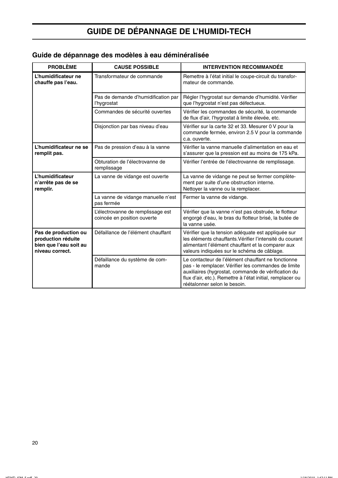## **GUIDE DE DÉPANNAGE DE L'HUMIDI-TECH**

| Guide de dépannage des modèles à eau déminéralisée |  |  |
|----------------------------------------------------|--|--|
|----------------------------------------------------|--|--|

| <b>PROBLÈME</b>                                                                         | <b>CAUSE POSSIBLE</b>                                            | <b>INTERVENTION RECOMMANDÉE</b>                                                                                                                                                                                                                                 |
|-----------------------------------------------------------------------------------------|------------------------------------------------------------------|-----------------------------------------------------------------------------------------------------------------------------------------------------------------------------------------------------------------------------------------------------------------|
| L'humidificateur ne<br>chauffe pas l'eau.                                               | Transformateur de commande                                       | Remettre à l'état initial le coupe-circuit du transfor-<br>mateur de commande.                                                                                                                                                                                  |
|                                                                                         | Pas de demande d'humidification par<br>l'hygrostat               | Régler l'hygrostat sur demande d'humidité. Vérifier<br>que l'hygrostat n'est pas défectueux.                                                                                                                                                                    |
|                                                                                         | Commandes de sécurité ouvertes                                   | Vérifier les commandes de sécurité, la commande<br>de flux d'air, l'hygrostat à limite élevée, etc.                                                                                                                                                             |
|                                                                                         | Disjonction par bas niveau d'eau                                 | Vérifier sur la carte 32 et 33. Mesurer 0 V pour la<br>commande fermée, environ 2.5 V pour la commande<br>c.a. ouverte.                                                                                                                                         |
| L'humidificateur ne se<br>remplit pas.                                                  | Pas de pression d'eau à la vanne                                 | Vérifier la vanne manuelle d'alimentation en eau et<br>s'assurer que la pression est au moins de 175 kPa.                                                                                                                                                       |
|                                                                                         | Obturation de l'électrovanne de<br>remplissage                   | Vérifier l'entrée de l'électrovanne de remplissage.                                                                                                                                                                                                             |
| <b>L'humidificateur</b><br>n'arrête pas de se<br>remplir.                               | La vanne de vidange est ouverte                                  | La vanne de vidange ne peut se fermer complète-<br>ment par suite d'une obstruction interne.<br>Nettoyer la vanne ou la remplacer.                                                                                                                              |
|                                                                                         | La vanne de vidange manuelle n'est<br>pas fermée                 | Fermer la vanne de vidange.                                                                                                                                                                                                                                     |
|                                                                                         | L'électrovanne de remplissage est<br>coincée en position ouverte | Vérifier que la vanne n'est pas obstruée, le flotteur<br>engorgé d'eau, le bras du flotteur brisé, la butée de<br>la vanne usée.                                                                                                                                |
| Pas de production ou<br>production réduite<br>bien que l'eau soit au<br>niveau correct. | Défaillance de l'élément chauffant                               | Vérifier que la tension adéquate est appliquée sur<br>les éléments chauffants. Vérifier l'intensité du courant<br>alimentant l'élément chauffant et la comparer aux<br>valeurs indiquées sur le schéma de câblage.                                              |
|                                                                                         | Défaillance du système de com-<br>mande                          | Le contacteur de l'élément chauffant ne fonctionne<br>pas - le remplacer. Vérifier les commandes de limite<br>auxiliaires (hygrostat, commande de vérification du<br>flux d'air, etc.). Remettre à l'état initial, remplacer ou<br>réétalonner selon le besoin. |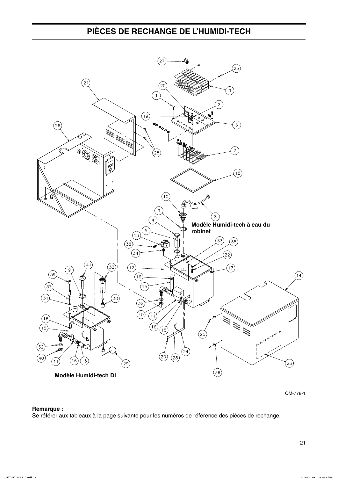## PIÈCES DE RECHANGE DE L'HUMIDI-TECH



OM-778-1

#### Remarque :

Se référer aux tableaux à la page suivante pour les numéros de référence des pièces de rechange.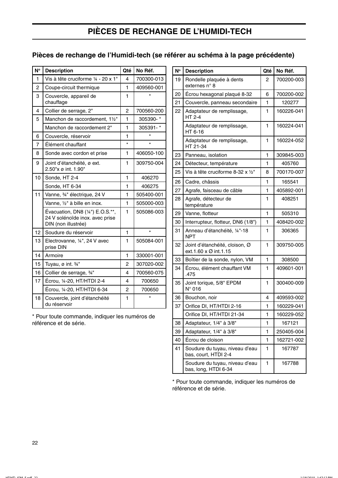## PIÈCES DE RECHANGE DE L'HUMIDI-TECH

#### Pièces de rechange de l'Humidi-tech (se référer au schéma à la page précédente)

| Ν°             | <b>Description</b>                                                                         | Qté            | No Réf.    |
|----------------|--------------------------------------------------------------------------------------------|----------------|------------|
| 1              | Vis à tête cruciforme 1/4 - 20 x 1"                                                        | 4              | 700300-013 |
| $\overline{c}$ | Coupe-circuit thermique                                                                    | 1              | 409560-001 |
| 3              | Couvercle, appareil de<br>chauffage                                                        | 1              |            |
| 4              | Collier de serrage, 2"                                                                     | $\overline{c}$ | 700560-200 |
| 5              | Manchon de raccordement, 11/2"                                                             | $\mathbf{1}$   | 305390-*   |
|                | Manchon de raccordement 2"                                                                 | 1              | 305391-*   |
| 6              | Couvercle, réservoir                                                                       | 1              |            |
| 7              | Élément chauffant                                                                          | $\star$        | $\star$    |
| 8              | Sonde avec cordon et prise                                                                 | 1              | 406050-100 |
| 9              | Joint d'étanchéité, ø ext.<br>2.50"x ø int. 1.90"                                          | 1              | 309750-004 |
| 10             | Sonde, HT 2-4                                                                              | 1              | 406270     |
|                | Sonde, HT 6-34                                                                             | 1              | 406275     |
| 11             | Vanne, 34" électrique, 24 V                                                                | 1              | 505400-001 |
|                | Vanne, 1/2" à bille en inox.                                                               | 1              | 505000-003 |
|                | Évacuation, DN8 $(4")$ E.O.S.**,<br>24 V solénoïde inox. avec prise<br>DIN (non illustrée) | 1              | 505086-003 |
| 12             | Soudure du réservoir                                                                       | 1              | $\star$    |
| 13             | Electrovanne, 1/4", 24 V avec<br>prise DIN                                                 | 1              | 505084-001 |
| 14             | Armoire                                                                                    | 1              | 330001-001 |
| 15             | Tuyau, $\varnothing$ int. $\frac{3}{4}$ "                                                  | 2              | 307020-002 |
| 16             | Collier de serrage, 3/4"                                                                   | 4              | 700560-075 |
| 17             | Écrou, 1/4-20, HT/HTDI 2-4                                                                 | 4              | 700650     |
|                | Écrou, 14-20, HT/HTDI 6-34                                                                 | 2              | 700650     |
| 18             | Couvercle, joint d'étanchéité<br>du réservoir                                              | 1              |            |

\* Pour toute commande, indiquer les numéros de référence et de série.

| N۰ | <b>Description</b>                                      | Qté | No Réf.    |
|----|---------------------------------------------------------|-----|------------|
| 19 | Rondelle plaquée à dents<br>externes n° 8               | 2   | 700200-003 |
| 20 | Écrou hexagonal plaqué 8-32                             | 6   | 700200-002 |
| 21 | Couvercle, panneau secondaire                           | 1   | 120277     |
| 22 | Adaptateur de remplissage,<br><b>HT 2-4</b>             | 1   | 160226-041 |
|    | Adaptateur de remplissage,<br>HT 6-16                   | 1   | 160224-041 |
|    | Adaptateur de remplissage,<br>HT 21-34                  | 1   | 160224-052 |
| 23 | Panneau, isolation                                      | 1   | 309845-003 |
| 24 | Détecteur, température                                  | 1   | 405760     |
| 25 | Vis à tête cruciforme 8-32 x 1/2"                       | 8   | 700170-007 |
| 26 | Cadre, châssis                                          | 1   | 165541     |
| 27 | Agrafe, faisceau de câble                               | 1   | 405892-001 |
| 28 | Agrafe, détecteur de<br>température                     | 1   | 408251     |
| 29 | Vanne, flotteur                                         | 1   | 505310     |
| 30 | Interrupteur, flotteur, DN6 (1/8")                      | 1   | 408420-002 |
| 31 | Anneau d'étanchéité, 1/4"-18<br><b>NPT</b>              | 1   | 306365     |
| 32 | Joint d'étanchéité, cloison, Ø<br>ext.1.60 x Ø int.1.15 | 1   | 309750-005 |
| 33 | Boîtier de la sonde, nylon, VM                          | 1   | 308500     |
| 34 | Écrou, élément chauffant VM<br>.475                     | 1   | 409601-001 |
| 35 | Joint torique, 5/8" EPDM<br>$N^{\circ}$ 016             | 1   | 300400-009 |
| 36 | Bouchon, noir                                           | 4   | 409593-002 |
| 37 | Orifice DI, HT/HTDI 2-16                                | 1   | 160229-041 |
|    | Orifice DI, HT/HTDI 21-34                               | 1   | 160229-052 |
| 38 | Adaptateur, 1/4" à 3/8"                                 | 1   | 167121     |
| 39 | Adaptateur, 1/4" à 3/8"                                 | 1   | 250405-004 |
| 40 | Écrou de cloison                                        | 1   | 162721-002 |
| 41 | Soudure du tuyau, niveau d'eau<br>bas, court, HTDI 2-4  | 1   | 167787     |
|    | Soudure du tuyau, niveau d'eau<br>bas, long, HTDI 6-34  | 1   | 167788     |

\* Pour toute commande, indiquer les numéros de référence et de série.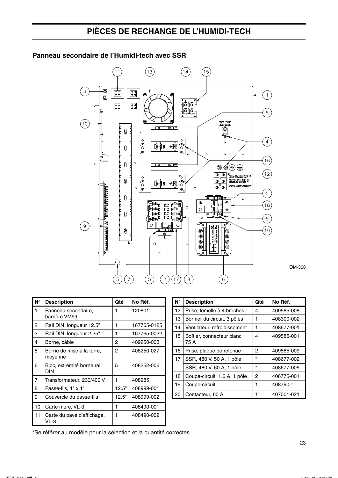## PIÈCES DE RECHANGE DE L'HUMIDI-TECH

#### $(13)$  $\left(11\right)$  $(14)$ (15  $\sqrt{3}$  $\boxed{\text{B}}$ 圌 ®.  $\overline{1}$  $\boxed{00}$ ſō Ιō  $\left(5\right)$ ø  $\sqrt{10}$ EROUND MISCHE<br>
DE A LA TERE<br>
DE LA LA TERE<br>
DE LA LA LA COMPRE<br>
DE LA LA LA TERE<br>
DE LA LA LA TERE  $\sqrt{|\Theta|}$   $\sqrt{|\Theta|}$  $\circ$ @  $\circ \overset{\circ}{\circ} \circ \overset{\circ}{\circ}$  $\begin{array}{c}\n\circ \\
\circ \\
\circ \\
\circ\n\end{array}$  $\left(4\right)$  $\circ$  $\triangleleft$ ∎ إ⊲ل  $\circ$  $\sim$  $(16)$  $\circ$ <u>||⊖| ∏ |⊖||</u>⇔  $\circledcirc\circledcirc\oplus$  $(12)$  $\begin{bmatrix} 0 & \overset{\bullet}{\Theta} & 0 \\ \overset{\bullet}{\Theta} & 0 & \overset{\bullet}{\Theta} \end{bmatrix}$ ठ  $\begin{smallmatrix} &\bullet&&\bullet&\bullet\ &\bullet&&\bullet\ &\bullet&&\bullet\ &\bullet&&\bullet\ &\bullet&&\bullet\ &\bullet&&\bullet&&\end{smallmatrix}$ |≱ !!  $\lhd$  $\circ$  $\circ$  $\left(5\right)$ πਵ ᇾ  $\circ$ i  $\circ$  $\circ$ E  $(18)$ ਗਾ™<br>ਗਾ  $\circ$ ৗঃ⊛⊧⊓  $\overline{\circ}$  $\overline{\circ}$  $\overline{0}$ ם<br>ה .ලැල් <u>ण्ट्म</u> <u>y le</u>  $\binom{5}{ }$  $\circ$  $\sqrt{9}$  $\circ$ 止  $\circ$ **POOOO**  $\overline{\mathbb{G}}$  $\frac{1}{2}$  $(19)$ Ī®  $^{\circledR}$ Πē  $\overline{\textcircled{\tiny{\#}}}$ h Ñ  $\circ$  $\overline{C}$ Ŧ Io  $\overline{45}$  $\circ$  $\left(\overline{17}\right)$  $\widetilde{\mathcal{I}}$  $\bigodot$  $\circled{2}$  $\sqrt{8}$  $\overline{3}$  $(6)$

#### Panneau secondaire de l'Humidi-tech avec SSR

| N۰ | <b>Description</b>                   | Qté   | No Réf.     |
|----|--------------------------------------|-------|-------------|
| 1  | Panneau secondaire,<br>barrière VM99 | 1     | 120801      |
| 2  | Rail DIN, longueur 12.5"             | 1     | 167765-0125 |
| 3  | Rail DIN, longueur 2.25"             | 1     | 167765-0022 |
| 4  | Borne, câble                         | 2     | 409250-003  |
| 5  | Borne de mise à la terre,<br>moyenne | 2     | 408250-027  |
| 6  | Bloc, extrémité borne rail<br>DIN    | 5     | 408252-006  |
| 7  | Transformateur, 230/400 V            | 1     | 408985      |
| 8  | Passe-fils, 1" x 1"                  | 12.5" | 408999-001  |
| 9  | Couvercle du passe-fils              | 12.5" | 408999-002  |
| 10 | Carte mère, VL-3                     | 1     | 408490-001  |
| 11 | Carte du pavé d'affichage,<br>VL-3   | 1     | 408490-002  |

| Ν° | <b>Description</b>                | Qté     | No Réf.    |
|----|-----------------------------------|---------|------------|
| 12 | Prise, femelle à 4 broches        | 4       | 409585-008 |
| 13 | Bornier du circuit, 3 pôles       | 1       | 408300-002 |
| 14 | Ventilateur, refroidissement      | 1       | 408677-001 |
| 15 | Boîtier, connecteur blanc<br>75 A | 4       | 409585-001 |
| 16 | Prise, plaque de retenue          | 2       | 409585-009 |
| 17 | SSR, 480 V, 50 A, 1 pôle          | $\star$ | 408677-002 |
|    | SSR, 480 V, 60 A, 1 pôle          | $\star$ | 408677-005 |
| 18 | Coupe-circuit, 1.6 A, 1 pôle      | 2       | 406775-001 |
| 19 | Coupe-circuit                     | 1       | 408790-*   |
| 20 | Contacteur, 60 A                  |         | 407001-021 |

\*Se référer au modèle pour la sélection et la quantité correctes.

OM-368